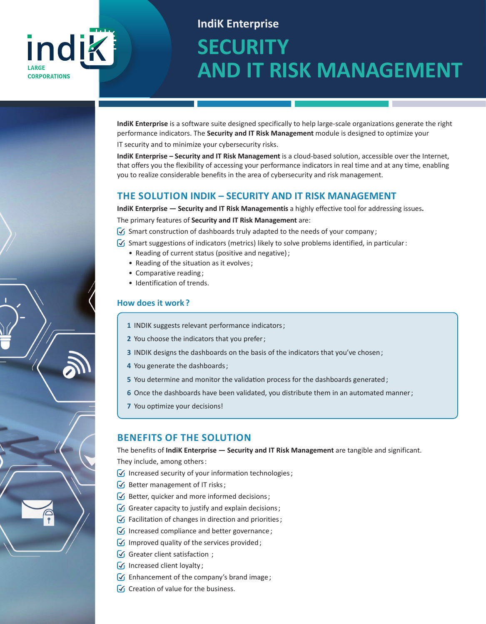## indik **LARGE CORPORATIONS**

# **IndiK Enterprise SECURITY AND IT RISK MANAGEMENT**

**IndiK Enterprise** is a software suite designed specifically to help large-scale organizations generate the right performance indicators. The **Security and IT Risk Management** module is designed to optimize your

IT security and to minimize your cybersecurity risks.

**IndiK Enterprise – Security and IT Risk Management** is a cloud-based solution, accessible over the Internet, that offers you the flexibility of accessing your performance indicators in real time and at any time, enabling you to realize considerable benefits in the area of cybersecurity and risk management.

#### **THE SOLUTION INDIK – SECURITY AND IT RISK MANAGEMENT**

**IndiK Enterprise — Security and IT Risk Managementis** a highly effective tool for addressing issues**.**  The primary features of **Security and IT Risk Management** are:

 $\sqrt{ }$  Smart construction of dashboards truly adapted to the needs of your company;

- $\sqrt{ }$  Smart suggestions of indicators (metrics) likely to solve problems identified, in particular:
	- Reading of current status (positive and negative) ;
	- Reading of the situation as it evolves ;
	- Comparative reading ;
	- Identification of trends.

#### **How does it work ?**

- **1** INDIK suggests relevant performance indicators ;
- **2** You choose the indicators that you prefer ;
- **3** INDIK designs the dashboards on the basis of the indicators that you've chosen ;
- **4** You generate the dashboards ;
- **5** You determine and monitor the validation process for the dashboards generated;
- **6** Once the dashboards have been validated, you distribute them in an automated manner ;
- **7** You optimize your decisions!

#### **BENEFITS OF THE SOLUTION**

The benefits of **IndiK Enterprise — Security and IT Risk Management** are tangible and significant. They include, among others :

- $\sqrt{ }$  Increased security of your information technologies;
- $\mathcal G$  Better management of IT risks;
- $\sqrt{\sqrt{2}}$  Better, quicker and more informed decisions;
- $\sqrt{\sqrt{2}}$  Greater capacity to justify and explain decisions;
- $\sqrt{ }$  Facilitation of changes in direction and priorities;
- $\sqrt{ }$  Increased compliance and better governance;
- $\sqrt{ }$  Improved quality of the services provided;
- $\sqrt{\sqrt{2}}$  Greater client satisfaction  $\sqrt{2}$
- $\sqrt{\sqrt{1}}$  Increased client loyalty;
- $\sqrt{ }$  Enhancement of the company's brand image;
- $\sqrt{\phantom{a}}$  Creation of value for the business.